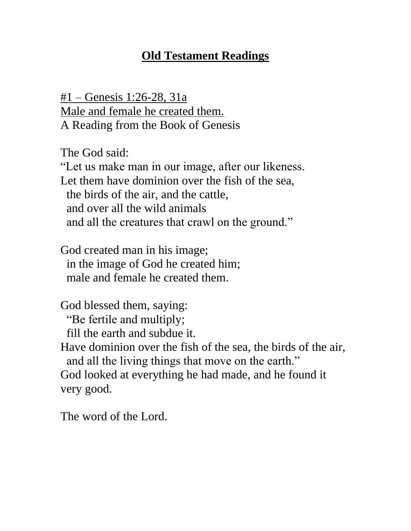# **Old Testament Readings**

#1 – Genesis 1:26-28, 31a Male and female he created them. A Reading from the Book of Genesis

The God said:

"Let us make man in our image, after our likeness. Let them have dominion over the fish of the sea, the birds of the air, and the cattle, and over all the wild animals and all the creatures that crawl on the ground."

God created man in his image; in the image of God he created him; male and female he created them.

God blessed them, saying:

"Be fertile and multiply;

fill the earth and subdue it.

Have dominion over the fish of the sea, the birds of the air, and all the living things that move on the earth." God looked at everything he had made, and he found it very good.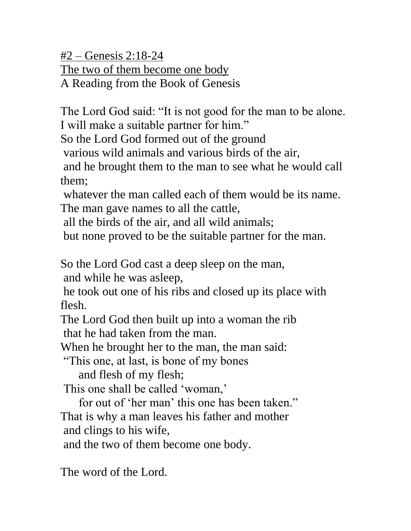#2 – Genesis 2:18-24 The two of them become one body

A Reading from the Book of Genesis

The Lord God said: "It is not good for the man to be alone. I will make a suitable partner for him."

So the Lord God formed out of the ground

various wild animals and various birds of the air,

and he brought them to the man to see what he would call them;

whatever the man called each of them would be its name. The man gave names to all the cattle,

all the birds of the air, and all wild animals;

but none proved to be the suitable partner for the man.

So the Lord God cast a deep sleep on the man,

and while he was asleep,

he took out one of his ribs and closed up its place with flesh.

The Lord God then built up into a woman the rib that he had taken from the man.

When he brought her to the man, the man said:

"This one, at last, is bone of my bones

and flesh of my flesh;

This one shall be called 'woman,'

 for out of 'her man' this one has been taken." That is why a man leaves his father and mother and clings to his wife,

and the two of them become one body.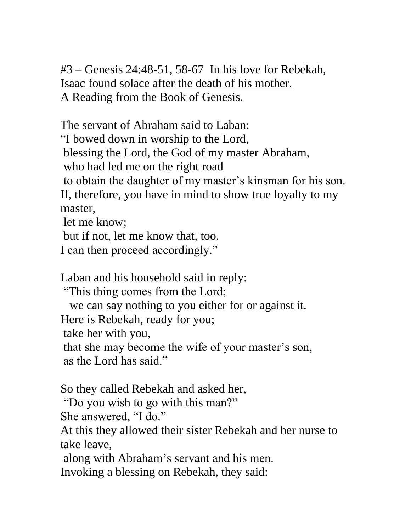#3 – Genesis 24:48-51, 58-67 In his love for Rebekah, Isaac found solace after the death of his mother. A Reading from the Book of Genesis.

The servant of Abraham said to Laban:

"I bowed down in worship to the Lord,

blessing the Lord, the God of my master Abraham,

who had led me on the right road

to obtain the daughter of my master's kinsman for his son.

If, therefore, you have in mind to show true loyalty to my master,

let me know;

but if not, let me know that, too.

I can then proceed accordingly."

Laban and his household said in reply:

"This thing comes from the Lord;

we can say nothing to you either for or against it.

Here is Rebekah, ready for you;

take her with you,

that she may become the wife of your master's son, as the Lord has said."

So they called Rebekah and asked her,

"Do you wish to go with this man?"

She answered, "I do."

At this they allowed their sister Rebekah and her nurse to take leave,

along with Abraham's servant and his men.

Invoking a blessing on Rebekah, they said: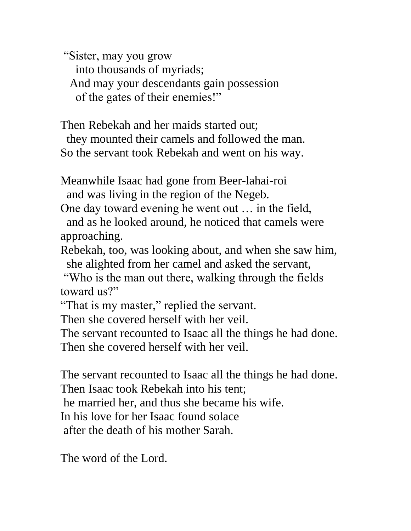"Sister, may you grow into thousands of myriads; And may your descendants gain possession of the gates of their enemies!"

Then Rebekah and her maids started out;

 they mounted their camels and followed the man. So the servant took Rebekah and went on his way.

Meanwhile Isaac had gone from Beer-lahai-roi and was living in the region of the Negeb.

One day toward evening he went out … in the field, and as he looked around, he noticed that camels were approaching.

Rebekah, too, was looking about, and when she saw him, she alighted from her camel and asked the servant,

"Who is the man out there, walking through the fields toward us?"

"That is my master," replied the servant.

Then she covered herself with her veil.

The servant recounted to Isaac all the things he had done.

Then she covered herself with her veil.

The servant recounted to Isaac all the things he had done. Then Isaac took Rebekah into his tent; he married her, and thus she became his wife. In his love for her Isaac found solace after the death of his mother Sarah.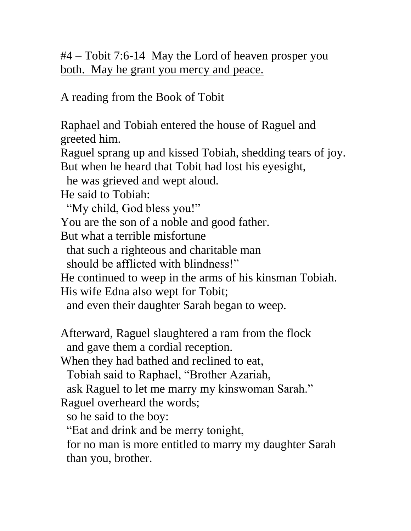#4 – Tobit 7:6-14 May the Lord of heaven prosper you both. May he grant you mercy and peace.

A reading from the Book of Tobit

Raphael and Tobiah entered the house of Raguel and greeted him.

Raguel sprang up and kissed Tobiah, shedding tears of joy. But when he heard that Tobit had lost his eyesight,

he was grieved and wept aloud.

He said to Tobiah:

"My child, God bless you!"

You are the son of a noble and good father.

But what a terrible misfortune

that such a righteous and charitable man

should be afflicted with blindness!"

He continued to weep in the arms of his kinsman Tobiah.

His wife Edna also wept for Tobit;

and even their daughter Sarah began to weep.

Afterward, Raguel slaughtered a ram from the flock and gave them a cordial reception.

When they had bathed and reclined to eat,

Tobiah said to Raphael, "Brother Azariah,

ask Raguel to let me marry my kinswoman Sarah."

Raguel overheard the words;

so he said to the boy:

"Eat and drink and be merry tonight,

 for no man is more entitled to marry my daughter Sarah than you, brother.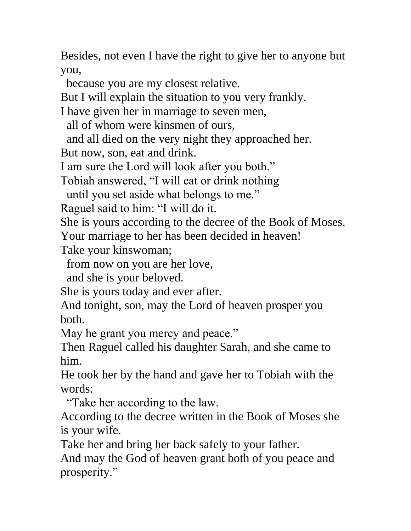Besides, not even I have the right to give her to anyone but you,

because you are my closest relative.

But I will explain the situation to you very frankly.

I have given her in marriage to seven men,

all of whom were kinsmen of ours,

and all died on the very night they approached her.

But now, son, eat and drink.

I am sure the Lord will look after you both."

Tobiah answered, "I will eat or drink nothing

until you set aside what belongs to me."

Raguel said to him: "I will do it.

She is yours according to the decree of the Book of Moses.

Your marriage to her has been decided in heaven!

Take your kinswoman;

from now on you are her love,

and she is your beloved.

She is yours today and ever after.

And tonight, son, may the Lord of heaven prosper you both.

May he grant you mercy and peace."

Then Raguel called his daughter Sarah, and she came to him.

He took her by the hand and gave her to Tobiah with the words:

"Take her according to the law.

According to the decree written in the Book of Moses she is your wife.

Take her and bring her back safely to your father.

And may the God of heaven grant both of you peace and prosperity."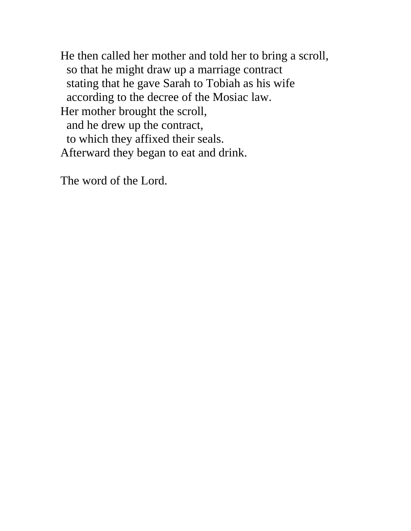He then called her mother and told her to bring a scroll, so that he might draw up a marriage contract stating that he gave Sarah to Tobiah as his wife according to the decree of the Mosiac law. Her mother brought the scroll, and he drew up the contract, to which they affixed their seals. Afterward they began to eat and drink.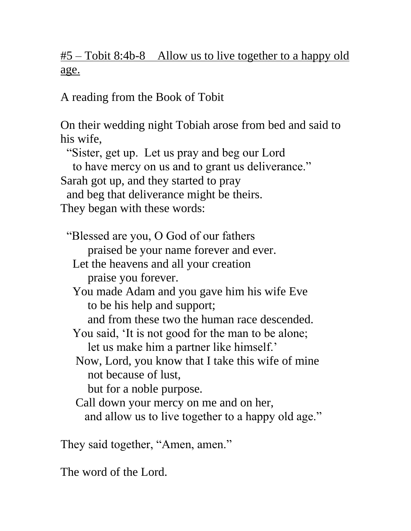#5 – Tobit 8:4b-8 Allow us to live together to a happy old age.

A reading from the Book of Tobit

On their wedding night Tobiah arose from bed and said to his wife, "Sister, get up. Let us pray and beg our Lord to have mercy on us and to grant us deliverance." Sarah got up, and they started to pray and beg that deliverance might be theirs. They began with these words: "Blessed are you, O God of our fathers praised be your name forever and ever. Let the heavens and all your creation praise you forever. You made Adam and you gave him his wife Eve to be his help and support; and from these two the human race descended. You said, 'It is not good for the man to be alone; let us make him a partner like himself.' Now, Lord, you know that I take this wife of mine not because of lust, but for a noble purpose. Call down your mercy on me and on her, and allow us to live together to a happy old age."

They said together, "Amen, amen."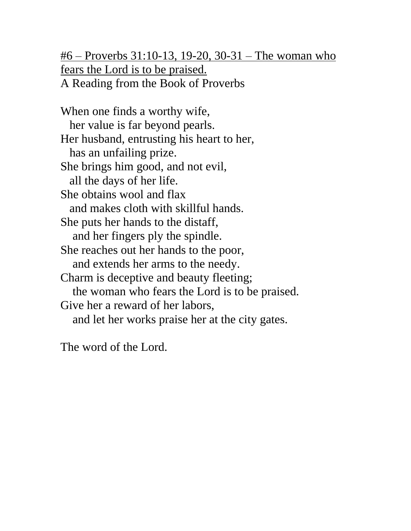#6 – Proverbs 31:10-13, 19-20, 30-31 – The woman who fears the Lord is to be praised. A Reading from the Book of Proverbs

When one finds a worthy wife, her value is far beyond pearls. Her husband, entrusting his heart to her, has an unfailing prize. She brings him good, and not evil, all the days of her life. She obtains wool and flax and makes cloth with skillful hands. She puts her hands to the distaff, and her fingers ply the spindle. She reaches out her hands to the poor, and extends her arms to the needy. Charm is deceptive and beauty fleeting; the woman who fears the Lord is to be praised. Give her a reward of her labors, and let her works praise her at the city gates.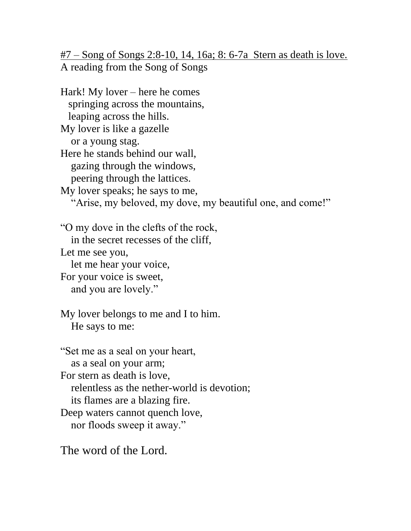$#7 -$  Song of Songs 2:8-10, 14, 16a; 8:6-7a Stern as death is love. A reading from the Song of Songs

Hark! My lover – here he comes springing across the mountains, leaping across the hills. My lover is like a gazelle or a young stag. Here he stands behind our wall, gazing through the windows, peering through the lattices. My lover speaks; he says to me, "Arise, my beloved, my dove, my beautiful one, and come!" "O my dove in the clefts of the rock, in the secret recesses of the cliff, Let me see you, let me hear your voice, For your voice is sweet, and you are lovely." My lover belongs to me and I to him. He says to me: "Set me as a seal on your heart, as a seal on your arm; For stern as death is love, relentless as the nether-world is devotion; its flames are a blazing fire.

Deep waters cannot quench love,

nor floods sweep it away."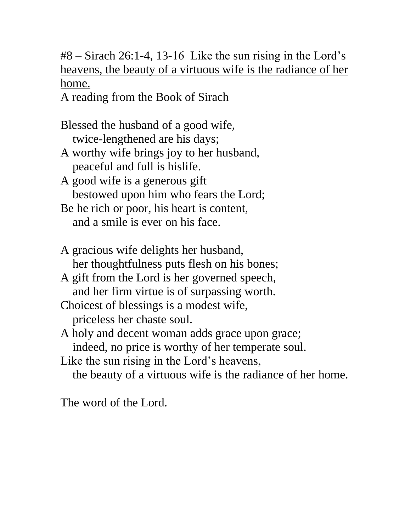#8 – Sirach 26:1-4, 13-16 Like the sun rising in the Lord's heavens, the beauty of a virtuous wife is the radiance of her home.

A reading from the Book of Sirach

- Blessed the husband of a good wife, twice-lengthened are his days;
- A worthy wife brings joy to her husband, peaceful and full is hislife.
- A good wife is a generous gift bestowed upon him who fears the Lord;
- Be he rich or poor, his heart is content, and a smile is ever on his face.
- A gracious wife delights her husband, her thoughtfulness puts flesh on his bones;
- A gift from the Lord is her governed speech, and her firm virtue is of surpassing worth.
- Choicest of blessings is a modest wife, priceless her chaste soul.
- A holy and decent woman adds grace upon grace; indeed, no price is worthy of her temperate soul.
- Like the sun rising in the Lord's heavens, the beauty of a virtuous wife is the radiance of her home.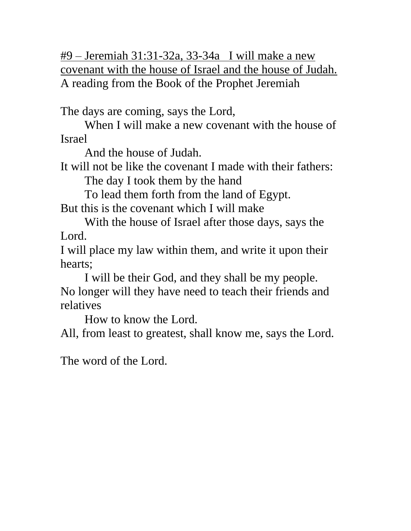#9 – Jeremiah 31:31-32a, 33-34a I will make a new covenant with the house of Israel and the house of Judah. A reading from the Book of the Prophet Jeremiah

The days are coming, says the Lord,

When I will make a new covenant with the house of Israel

And the house of Judah.

It will not be like the covenant I made with their fathers:

The day I took them by the hand

To lead them forth from the land of Egypt.

But this is the covenant which I will make

With the house of Israel after those days, says the Lord.

I will place my law within them, and write it upon their hearts;

I will be their God, and they shall be my people. No longer will they have need to teach their friends and relatives

How to know the Lord.

All, from least to greatest, shall know me, says the Lord.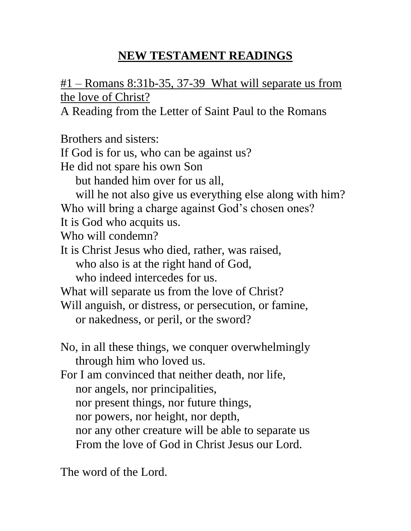# **NEW TESTAMENT READINGS**

#1 – Romans 8:31b-35, 37-39 What will separate us from the love of Christ?

A Reading from the Letter of Saint Paul to the Romans

Brothers and sisters: If God is for us, who can be against us? He did not spare his own Son but handed him over for us all, will he not also give us everything else along with him? Who will bring a charge against God's chosen ones? It is God who acquits us. Who will condemn? It is Christ Jesus who died, rather, was raised, who also is at the right hand of God, who indeed intercedes for us. What will separate us from the love of Christ? Will anguish, or distress, or persecution, or famine, or nakedness, or peril, or the sword? No, in all these things, we conquer overwhelmingly through him who loved us. For I am convinced that neither death, nor life, nor angels, nor principalities, nor present things, nor future things, nor powers, nor height, nor depth, nor any other creature will be able to separate us From the love of God in Christ Jesus our Lord.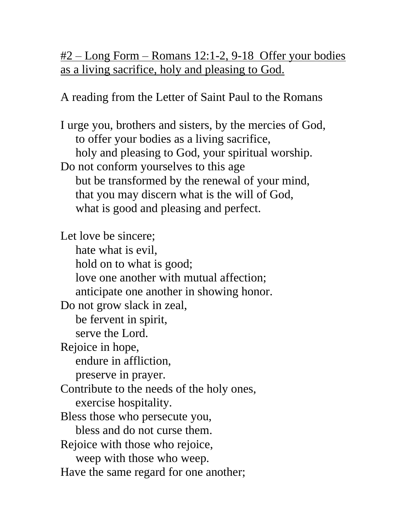#2 – Long Form – Romans 12:1-2, 9-18 Offer your bodies as a living sacrifice, holy and pleasing to God.

A reading from the Letter of Saint Paul to the Romans

I urge you, brothers and sisters, by the mercies of God, to offer your bodies as a living sacrifice, holy and pleasing to God, your spiritual worship. Do not conform yourselves to this age but be transformed by the renewal of your mind, that you may discern what is the will of God, what is good and pleasing and perfect.

Let love be sincere; hate what is evil, hold on to what is good; love one another with mutual affection; anticipate one another in showing honor. Do not grow slack in zeal, be fervent in spirit, serve the Lord. Rejoice in hope, endure in affliction, preserve in prayer. Contribute to the needs of the holy ones, exercise hospitality. Bless those who persecute you, bless and do not curse them. Rejoice with those who rejoice, weep with those who weep. Have the same regard for one another;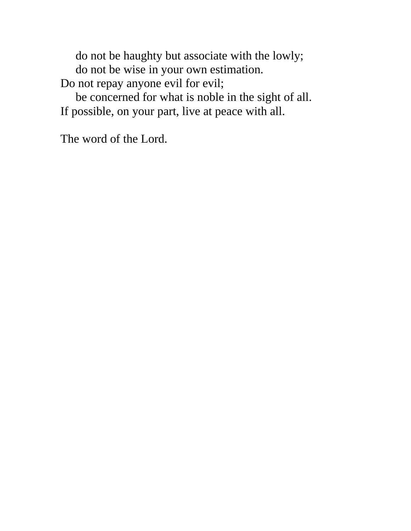do not be haughty but associate with the lowly; do not be wise in your own estimation. Do not repay anyone evil for evil;

 be concerned for what is noble in the sight of all. If possible, on your part, live at peace with all.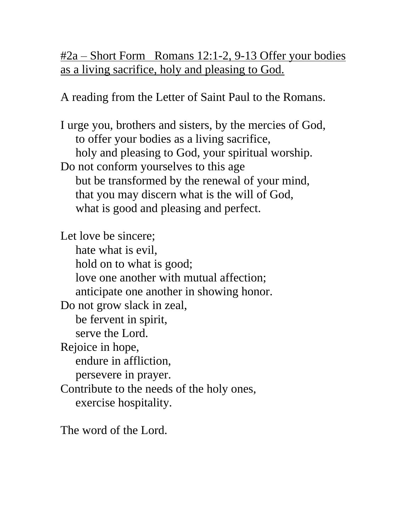#2a – Short Form Romans 12:1-2, 9-13 Offer your bodies as a living sacrifice, holy and pleasing to God.

A reading from the Letter of Saint Paul to the Romans.

I urge you, brothers and sisters, by the mercies of God, to offer your bodies as a living sacrifice, holy and pleasing to God, your spiritual worship. Do not conform yourselves to this age but be transformed by the renewal of your mind, that you may discern what is the will of God, what is good and pleasing and perfect.

Let love be sincere; hate what is evil, hold on to what is good; love one another with mutual affection; anticipate one another in showing honor. Do not grow slack in zeal, be fervent in spirit, serve the Lord. Rejoice in hope, endure in affliction, persevere in prayer. Contribute to the needs of the holy ones, exercise hospitality.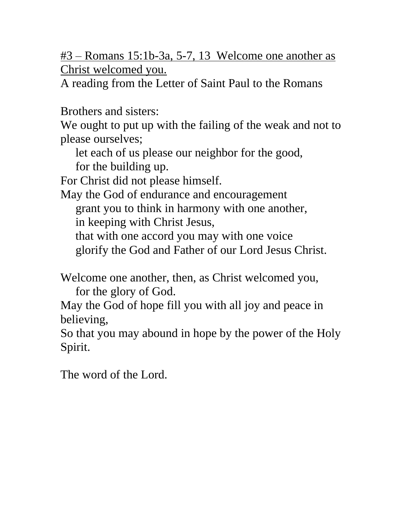#3 – Romans 15:1b-3a, 5-7, 13 Welcome one another as Christ welcomed you.

A reading from the Letter of Saint Paul to the Romans

Brothers and sisters:

We ought to put up with the failing of the weak and not to please ourselves;

 let each of us please our neighbor for the good, for the building up.

For Christ did not please himself.

May the God of endurance and encouragement

grant you to think in harmony with one another,

in keeping with Christ Jesus,

 that with one accord you may with one voice glorify the God and Father of our Lord Jesus Christ.

Welcome one another, then, as Christ welcomed you, for the glory of God.

May the God of hope fill you with all joy and peace in believing,

So that you may abound in hope by the power of the Holy Spirit.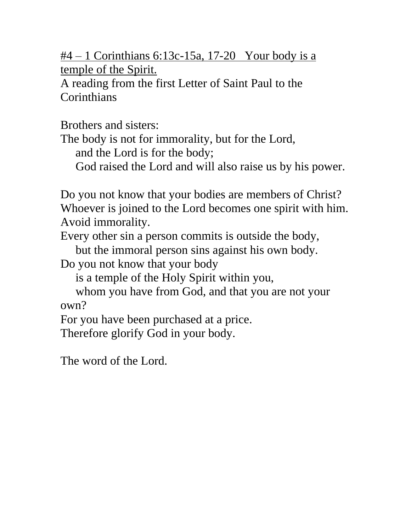$#4 - 1$  Corinthians 6:13c-15a, 17-20 Your body is a temple of the Spirit.

A reading from the first Letter of Saint Paul to the **Corinthians** 

Brothers and sisters:

The body is not for immorality, but for the Lord,

and the Lord is for the body;

God raised the Lord and will also raise us by his power.

Do you not know that your bodies are members of Christ? Whoever is joined to the Lord becomes one spirit with him. Avoid immorality.

Every other sin a person commits is outside the body,

 but the immoral person sins against his own body. Do you not know that your body

is a temple of the Holy Spirit within you,

 whom you have from God, and that you are not your own?

For you have been purchased at a price.

Therefore glorify God in your body.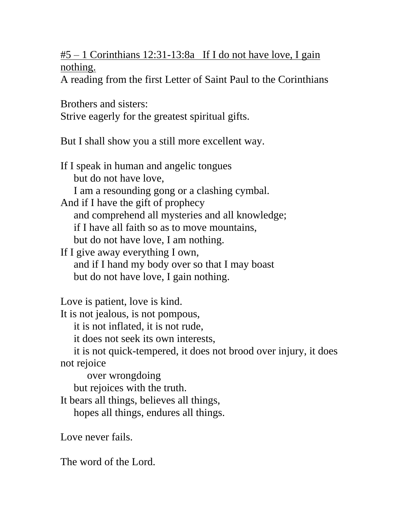$#5 - 1$  Corinthians 12:31-13:8a If I do not have love, I gain nothing.

A reading from the first Letter of Saint Paul to the Corinthians

Brothers and sisters: Strive eagerly for the greatest spiritual gifts.

But I shall show you a still more excellent way.

If I speak in human and angelic tongues but do not have love, I am a resounding gong or a clashing cymbal. And if I have the gift of prophecy and comprehend all mysteries and all knowledge; if I have all faith so as to move mountains, but do not have love, I am nothing. If I give away everything I own, and if I hand my body over so that I may boast but do not have love, I gain nothing. Love is patient, love is kind. It is not jealous, is not pompous, it is not inflated, it is not rude, it does not seek its own interests, it is not quick-tempered, it does not brood over injury, it does not rejoice over wrongdoing

 but rejoices with the truth. It bears all things, believes all things, hopes all things, endures all things.

Love never fails.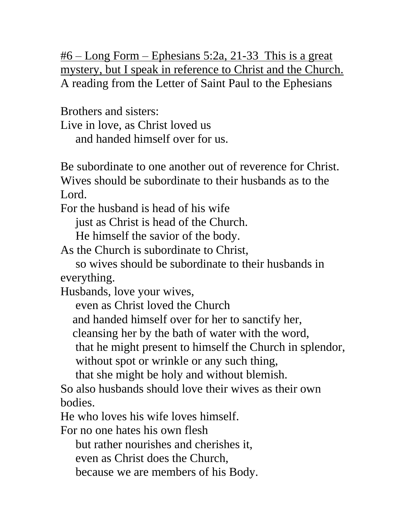#6 – Long Form – Ephesians 5:2a, 21-33 This is a great mystery, but I speak in reference to Christ and the Church. A reading from the Letter of Saint Paul to the Ephesians

Brothers and sisters: Live in love, as Christ loved us and handed himself over for us.

Be subordinate to one another out of reverence for Christ. Wives should be subordinate to their husbands as to the Lord.

For the husband is head of his wife

just as Christ is head of the Church.

He himself the savior of the body.

As the Church is subordinate to Christ,

 so wives should be subordinate to their husbands in everything.

Husbands, love your wives,

even as Christ loved the Church

and handed himself over for her to sanctify her,

cleansing her by the bath of water with the word,

that he might present to himself the Church in splendor,

without spot or wrinkle or any such thing,

that she might be holy and without blemish.

So also husbands should love their wives as their own bodies.

He who loves his wife loves himself.

For no one hates his own flesh

but rather nourishes and cherishes it,

even as Christ does the Church,

because we are members of his Body.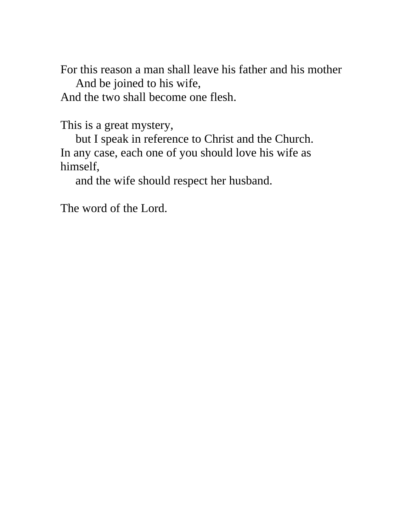For this reason a man shall leave his father and his mother And be joined to his wife,

And the two shall become one flesh.

This is a great mystery,

 but I speak in reference to Christ and the Church. In any case, each one of you should love his wife as himself,

and the wife should respect her husband.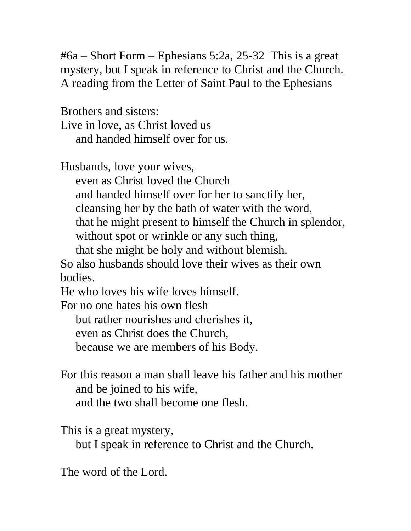$\frac{\text{#6a} - \text{Short Form} - \text{Ephesians } 5:2a, 25-32 \text{ This is a great}}{3 \text{m/s}^2}$ mystery, but I speak in reference to Christ and the Church. A reading from the Letter of Saint Paul to the Ephesians

Brothers and sisters:

Live in love, as Christ loved us and handed himself over for us.

Husbands, love your wives,

 even as Christ loved the Church and handed himself over for her to sanctify her, cleansing her by the bath of water with the word, that he might present to himself the Church in splendor, without spot or wrinkle or any such thing,

 that she might be holy and without blemish. So also husbands should love their wives as their own

bodies.

He who loves his wife loves himself.

For no one hates his own flesh

but rather nourishes and cherishes it,

even as Christ does the Church,

because we are members of his Body.

For this reason a man shall leave his father and his mother and be joined to his wife, and the two shall become one flesh.

This is a great mystery,

but I speak in reference to Christ and the Church.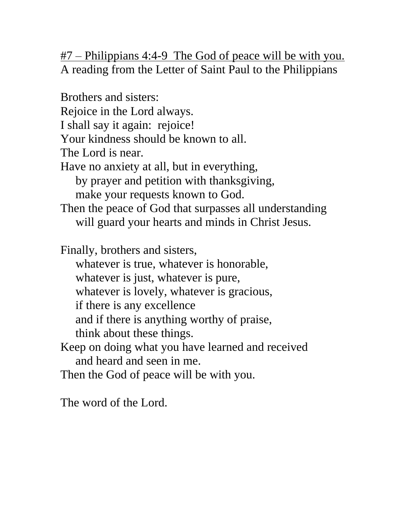#7 – Philippians 4:4-9 The God of peace will be with you. A reading from the Letter of Saint Paul to the Philippians

Brothers and sisters: Rejoice in the Lord always. I shall say it again: rejoice! Your kindness should be known to all. The Lord is near. Have no anxiety at all, but in everything, by prayer and petition with thanksgiving, make your requests known to God. Then the peace of God that surpasses all understanding will guard your hearts and minds in Christ Jesus. Finally, brothers and sisters, whatever is true, whatever is honorable, whatever is just, whatever is pure, whatever is lovely, whatever is gracious, if there is any excellence and if there is anything worthy of praise, think about these things. Keep on doing what you have learned and received and heard and seen in me. Then the God of peace will be with you.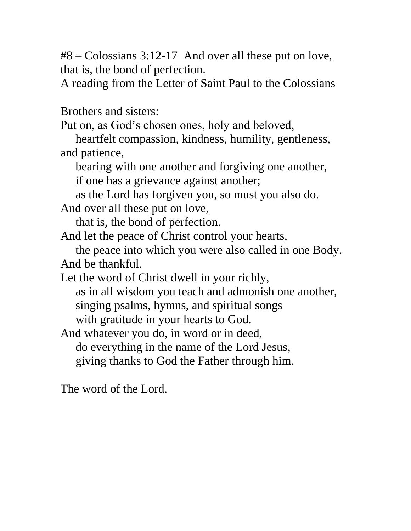#8 – Colossians 3:12-17 And over all these put on love, that is, the bond of perfection.

A reading from the Letter of Saint Paul to the Colossians

Brothers and sisters:

Put on, as God's chosen ones, holy and beloved,

 heartfelt compassion, kindness, humility, gentleness, and patience,

bearing with one another and forgiving one another,

if one has a grievance against another;

as the Lord has forgiven you, so must you also do.

And over all these put on love,

that is, the bond of perfection.

And let the peace of Christ control your hearts,

 the peace into which you were also called in one Body. And be thankful.

Let the word of Christ dwell in your richly,

 as in all wisdom you teach and admonish one another, singing psalms, hymns, and spiritual songs with gratitude in your hearts to God.

And whatever you do, in word or in deed, do everything in the name of the Lord Jesus, giving thanks to God the Father through him.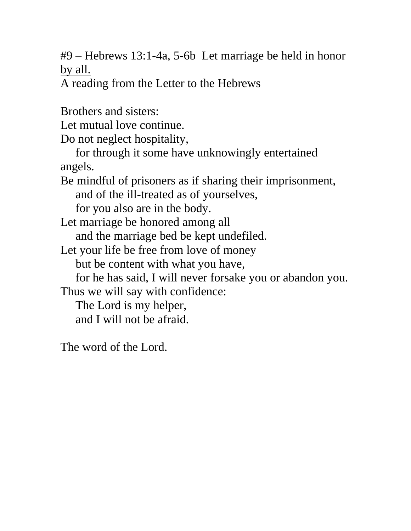#9 – Hebrews 13:1-4a, 5-6b Let marriage be held in honor by all.

A reading from the Letter to the Hebrews

Brothers and sisters: Let mutual love continue. Do not neglect hospitality, for through it some have unknowingly entertained angels. Be mindful of prisoners as if sharing their imprisonment, and of the ill-treated as of yourselves, for you also are in the body. Let marriage be honored among all and the marriage bed be kept undefiled. Let your life be free from love of money but be content with what you have, for he has said, I will never forsake you or abandon you. Thus we will say with confidence: The Lord is my helper, and I will not be afraid. The word of the Lord.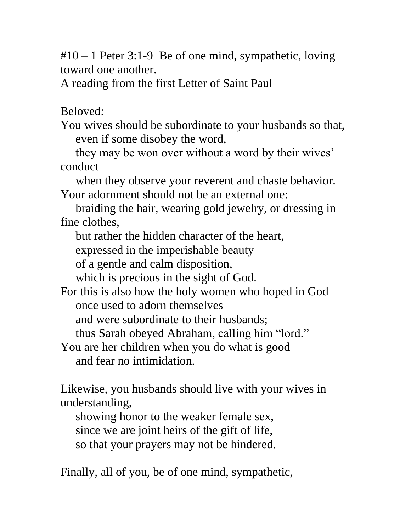#10 – 1 Peter 3:1-9 Be of one mind, sympathetic, loving toward one another.

A reading from the first Letter of Saint Paul

Beloved:

You wives should be subordinate to your husbands so that, even if some disobey the word,

 they may be won over without a word by their wives' conduct

 when they observe your reverent and chaste behavior. Your adornment should not be an external one:

 braiding the hair, wearing gold jewelry, or dressing in fine clothes,

but rather the hidden character of the heart,

expressed in the imperishable beauty

of a gentle and calm disposition,

which is precious in the sight of God.

For this is also how the holy women who hoped in God once used to adorn themselves

and were subordinate to their husbands;

thus Sarah obeyed Abraham, calling him "lord."

You are her children when you do what is good and fear no intimidation.

Likewise, you husbands should live with your wives in understanding,

 showing honor to the weaker female sex, since we are joint heirs of the gift of life, so that your prayers may not be hindered.

Finally, all of you, be of one mind, sympathetic,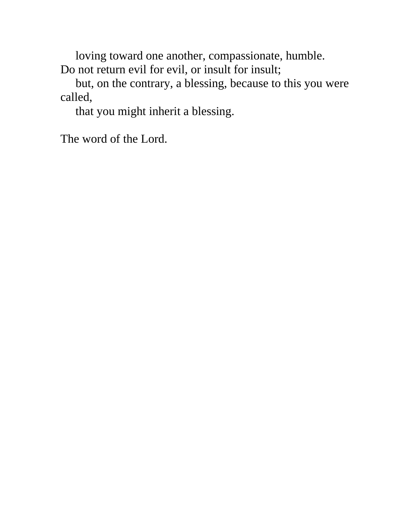loving toward one another, compassionate, humble. Do not return evil for evil, or insult for insult;

 but, on the contrary, a blessing, because to this you were called,

that you might inherit a blessing.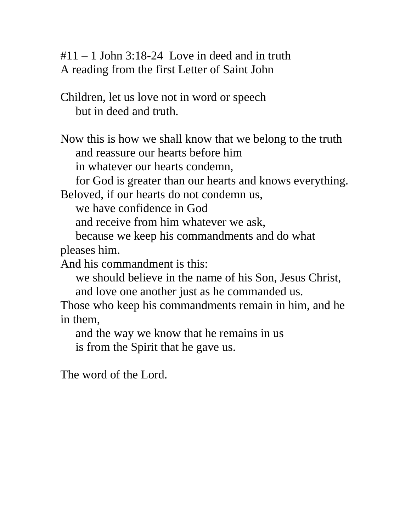$\text{\#}11 - 1$  John 3:18-24 Love in deed and in truth A reading from the first Letter of Saint John

Children, let us love not in word or speech but in deed and truth.

Now this is how we shall know that we belong to the truth and reassure our hearts before him

in whatever our hearts condemn,

for God is greater than our hearts and knows everything.

Beloved, if our hearts do not condemn us,

we have confidence in God

and receive from him whatever we ask,

 because we keep his commandments and do what pleases him.

And his commandment is this:

 we should believe in the name of his Son, Jesus Christ, and love one another just as he commanded us.

Those who keep his commandments remain in him, and he in them,

 and the way we know that he remains in us is from the Spirit that he gave us.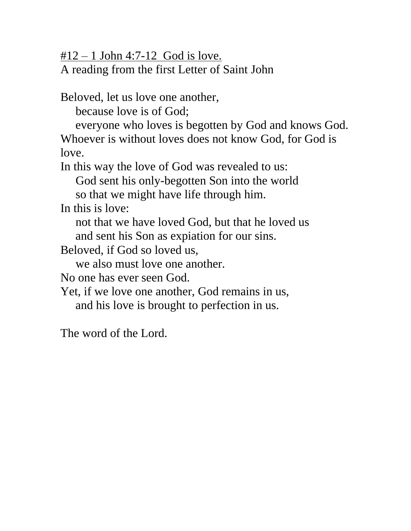$#12 - 1$  John 4:7-12 God is love.

A reading from the first Letter of Saint John

Beloved, let us love one another,

because love is of God;

 everyone who loves is begotten by God and knows God. Whoever is without loves does not know God, for God is love.

In this way the love of God was revealed to us:

 God sent his only-begotten Son into the world so that we might have life through him.

In this is love:

 not that we have loved God, but that he loved us and sent his Son as expiation for our sins.

Beloved, if God so loved us,

we also must love one another.

No one has ever seen God.

Yet, if we love one another, God remains in us, and his love is brought to perfection in us.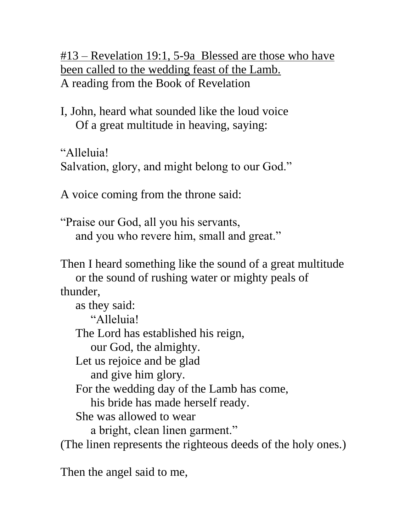#13 – Revelation 19:1, 5-9a Blessed are those who have been called to the wedding feast of the Lamb. A reading from the Book of Revelation

I, John, heard what sounded like the loud voice Of a great multitude in heaving, saying:

"Alleluia! Salvation, glory, and might belong to our God."

A voice coming from the throne said:

"Praise our God, all you his servants, and you who revere him, small and great."

Then I heard something like the sound of a great multitude or the sound of rushing water or mighty peals of thunder,

 as they said: "Alleluia! The Lord has established his reign, our God, the almighty. Let us rejoice and be glad and give him glory. For the wedding day of the Lamb has come, his bride has made herself ready. She was allowed to wear a bright, clean linen garment." (The linen represents the righteous deeds of the holy ones.)

Then the angel said to me,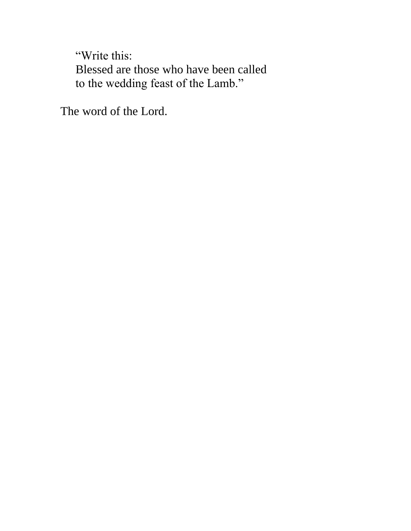"Write this: Blessed are those who have been called to the wedding feast of the Lamb."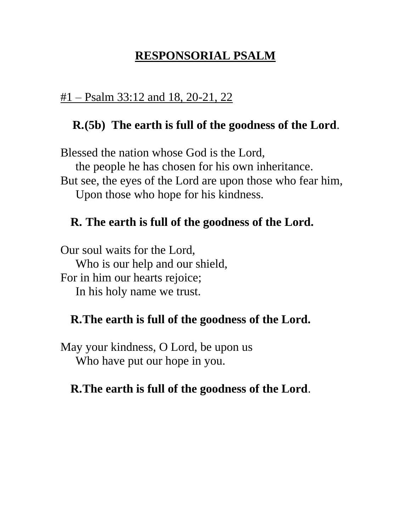# **RESPONSORIAL PSALM**

#### $#1 -$ Psalm 33:12 and 18, 20-21, 22

### **R.(5b) The earth is full of the goodness of the Lord**.

Blessed the nation whose God is the Lord, the people he has chosen for his own inheritance. But see, the eyes of the Lord are upon those who fear him, Upon those who hope for his kindness.

#### **R. The earth is full of the goodness of the Lord.**

Our soul waits for the Lord, Who is our help and our shield, For in him our hearts rejoice; In his holy name we trust.

#### **R.The earth is full of the goodness of the Lord.**

May your kindness, O Lord, be upon us Who have put our hope in you.

#### **R.The earth is full of the goodness of the Lord**.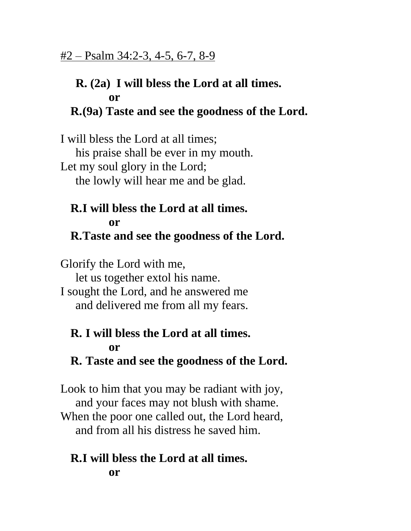### **R. (2a) I will bless the Lord at all times. or R.(9a) Taste and see the goodness of the Lord.**

I will bless the Lord at all times; his praise shall be ever in my mouth. Let my soul glory in the Lord; the lowly will hear me and be glad.

#### **R.I will bless the Lord at all times. or R.Taste and see the goodness of the Lord.**

Glorify the Lord with me, let us together extol his name. I sought the Lord, and he answered me and delivered me from all my fears.

# **R. I will bless the Lord at all times. or**

### **R. Taste and see the goodness of the Lord.**

Look to him that you may be radiant with joy, and your faces may not blush with shame. When the poor one called out, the Lord heard, and from all his distress he saved him.

#### **R.I will bless the Lord at all times. or**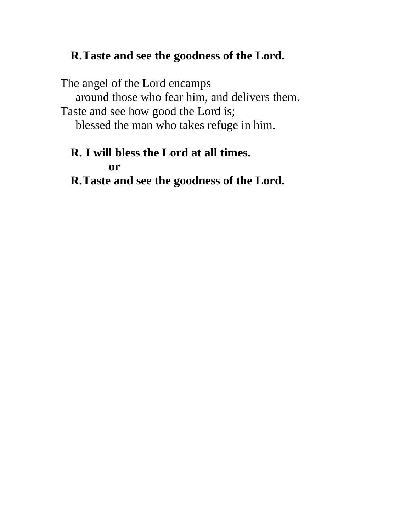### **R.Taste and see the goodness of the Lord.**

The angel of the Lord encamps around those who fear him, and delivers them. Taste and see how good the Lord is; blessed the man who takes refuge in him.

### **R. I will bless the Lord at all times. or R.Taste and see the goodness of the Lord.**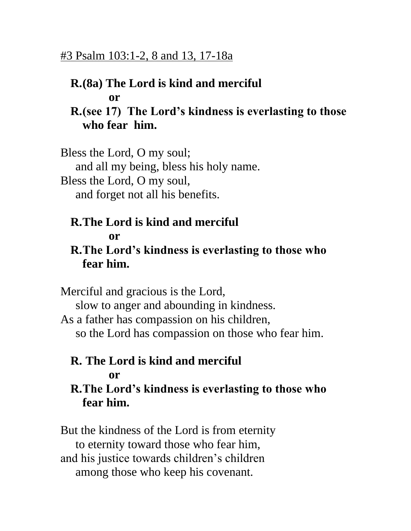### #3 Psalm 103:1-2, 8 and 13, 17-18a

#### **R.(8a) The Lord is kind and merciful or**

### **R.(see 17) The Lord's kindness is everlasting to those who fear him.**

Bless the Lord, O my soul; and all my being, bless his holy name. Bless the Lord, O my soul, and forget not all his benefits.

#### **R.The Lord is kind and merciful or**

### **R.The Lord's kindness is everlasting to those who fear him.**

Merciful and gracious is the Lord, slow to anger and abounding in kindness. As a father has compassion on his children, so the Lord has compassion on those who fear him.

#### **R. The Lord is kind and merciful or**

### **R.The Lord's kindness is everlasting to those who fear him.**

But the kindness of the Lord is from eternity to eternity toward those who fear him, and his justice towards children's children among those who keep his covenant.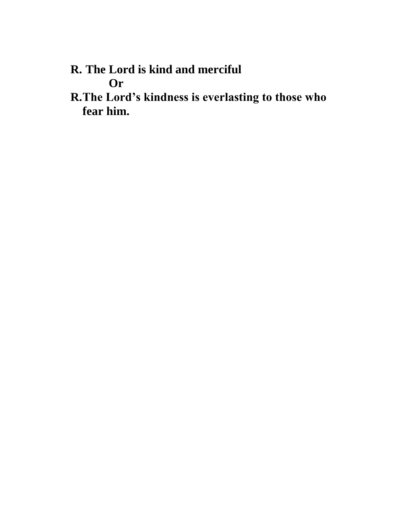- **R. The Lord is kind and merciful Or**
- **R.The Lord's kindness is everlasting to those who fear him.**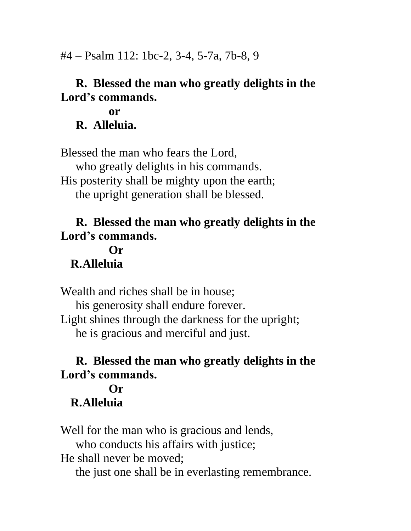#4 – Psalm 112: 1bc-2, 3-4, 5-7a, 7b-8, 9

### **R. Blessed the man who greatly delights in the Lord's commands.**

**or R. Alleluia.**

Blessed the man who fears the Lord, who greatly delights in his commands. His posterity shall be mighty upon the earth; the upright generation shall be blessed.

### **R. Blessed the man who greatly delights in the Lord's commands.**

### **Or R.Alleluia**

Wealth and riches shall be in house; his generosity shall endure forever. Light shines through the darkness for the upright; he is gracious and merciful and just.

# **R. Blessed the man who greatly delights in the Lord's commands.**

#### **Or R.Alleluia**

Well for the man who is gracious and lends, who conducts his affairs with justice; He shall never be moved; the just one shall be in everlasting remembrance.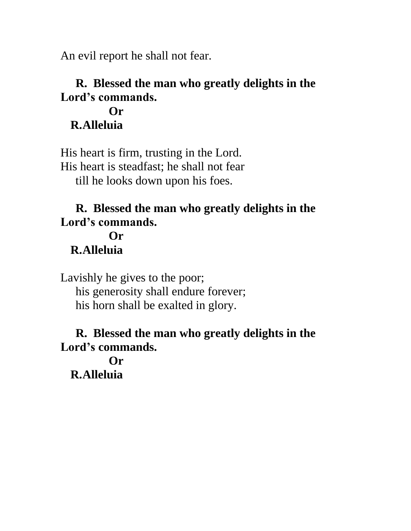An evil report he shall not fear.

# **R. Blessed the man who greatly delights in the Lord's commands.**

#### **Or R.Alleluia**

His heart is firm, trusting in the Lord. His heart is steadfast; he shall not fear till he looks down upon his foes.

# **R. Blessed the man who greatly delights in the Lord's commands.**

# **Or R.Alleluia**

Lavishly he gives to the poor; his generosity shall endure forever; his horn shall be exalted in glory.

### **R. Blessed the man who greatly delights in the Lord's commands.**

**Or R.Alleluia**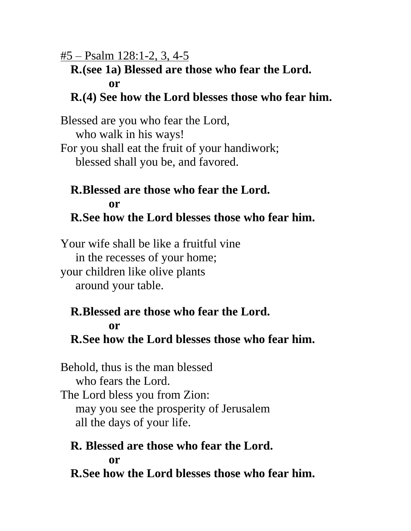#5 – Psalm 128:1-2, 3, 4-5

#### **R.(see 1a) Blessed are those who fear the Lord. or**

### **R.(4) See how the Lord blesses those who fear him.**

Blessed are you who fear the Lord, who walk in his ways! For you shall eat the fruit of your handiwork; blessed shall you be, and favored.

#### **R.Blessed are those who fear the Lord. or R.See how the Lord blesses those who fear him.**

Your wife shall be like a fruitful vine in the recesses of your home; your children like olive plants around your table.

# **R.Blessed are those who fear the Lord. or**

# **R.See how the Lord blesses those who fear him.**

Behold, thus is the man blessed who fears the Lord. The Lord bless you from Zion: may you see the prosperity of Jerusalem all the days of your life.

# **R. Blessed are those who fear the Lord. or**

**R.See how the Lord blesses those who fear him.**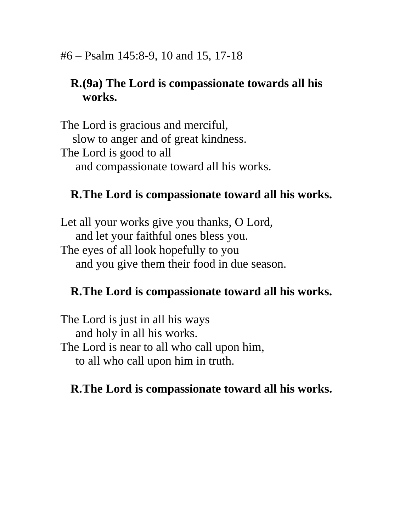# **R.(9a) The Lord is compassionate towards all his works.**

The Lord is gracious and merciful, slow to anger and of great kindness. The Lord is good to all and compassionate toward all his works.

# **R.The Lord is compassionate toward all his works.**

Let all your works give you thanks, O Lord, and let your faithful ones bless you. The eyes of all look hopefully to you and you give them their food in due season.

# **R.The Lord is compassionate toward all his works.**

The Lord is just in all his ways and holy in all his works. The Lord is near to all who call upon him, to all who call upon him in truth.

# **R.The Lord is compassionate toward all his works.**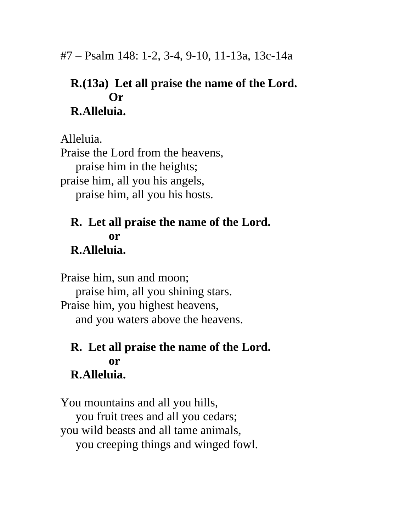# **R.(13a) Let all praise the name of the Lord. Or R.Alleluia.**

Alleluia. Praise the Lord from the heavens, praise him in the heights; praise him, all you his angels, praise him, all you his hosts.

# **R. Let all praise the name of the Lord. or**

### **R.Alleluia.**

Praise him, sun and moon; praise him, all you shining stars. Praise him, you highest heavens, and you waters above the heavens.

#### **R. Let all praise the name of the Lord. or R.Alleluia.**

You mountains and all you hills, you fruit trees and all you cedars; you wild beasts and all tame animals, you creeping things and winged fowl.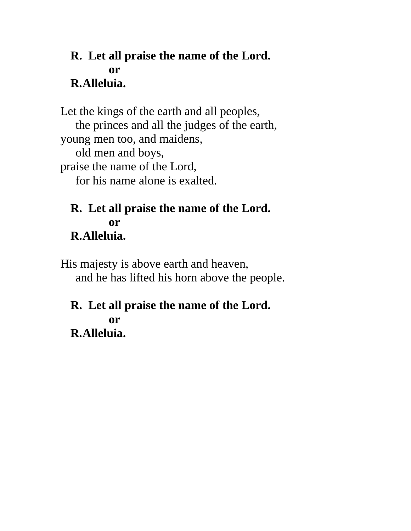### **R. Let all praise the name of the Lord. or R.Alleluia.**

Let the kings of the earth and all peoples, the princes and all the judges of the earth, young men too, and maidens, old men and boys, praise the name of the Lord, for his name alone is exalted.

### **R. Let all praise the name of the Lord. or R.Alleluia.**

His majesty is above earth and heaven, and he has lifted his horn above the people.

#### **R. Let all praise the name of the Lord. or R.Alleluia.**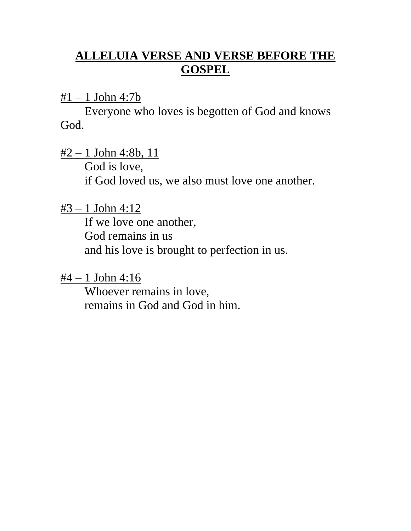# **ALLELUIA VERSE AND VERSE BEFORE THE GOSPEL**

 $#1 - 1$  John 4:7b

Everyone who loves is begotten of God and knows God.

 $\frac{\#2 - 1 \text{ John }4:8b, 11}{\#2}$ God is love, if God loved us, we also must love one another.

 $#3 - 1$  John 4:12

If we love one another, God remains in us and his love is brought to perfection in us.

 $#4 - 1$  John 4:16

Whoever remains in love, remains in God and God in him.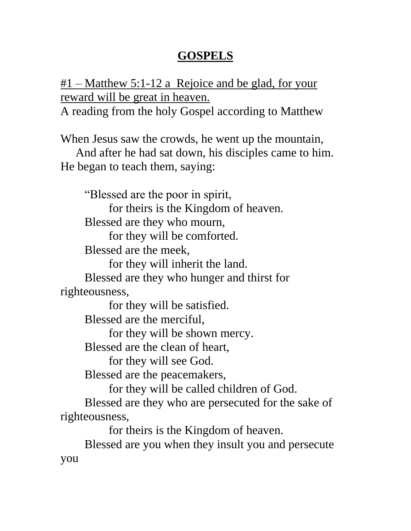# **GOSPELS**

 $#1$  – Matthew 5:1-12 a Rejoice and be glad, for your reward will be great in heaven.

A reading from the holy Gospel according to Matthew

When Jesus saw the crowds, he went up the mountain,

 And after he had sat down, his disciples came to him. He began to teach them, saying:

"Blessed are the poor in spirit,

for theirs is the Kingdom of heaven.

Blessed are they who mourn,

for they will be comforted.

Blessed are the meek,

for they will inherit the land.

Blessed are they who hunger and thirst for righteousness,

for they will be satisfied.

Blessed are the merciful,

for they will be shown mercy.

Blessed are the clean of heart,

for they will see God.

Blessed are the peacemakers,

for they will be called children of God.

Blessed are they who are persecuted for the sake of righteousness,

for theirs is the Kingdom of heaven.

Blessed are you when they insult you and persecute you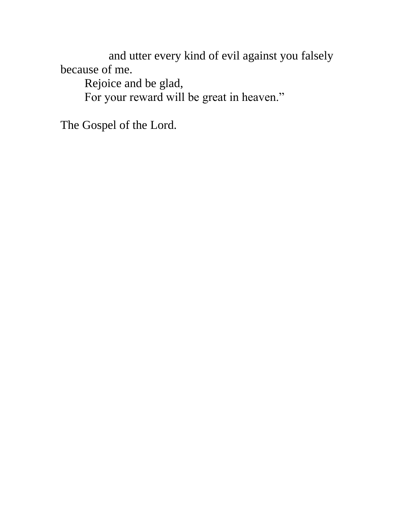and utter every kind of evil against you falsely because of me.

Rejoice and be glad, For your reward will be great in heaven."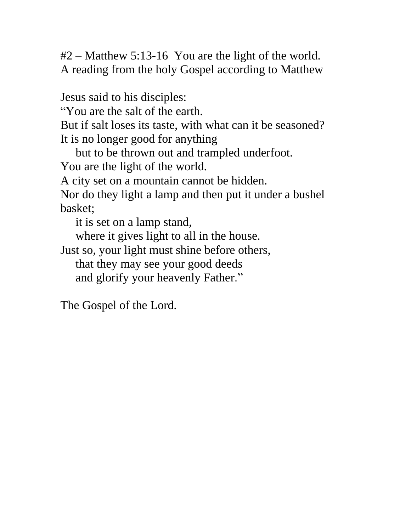$#2$  – Matthew 5:13-16 You are the light of the world. A reading from the holy Gospel according to Matthew

Jesus said to his disciples:

"You are the salt of the earth.

But if salt loses its taste, with what can it be seasoned? It is no longer good for anything

but to be thrown out and trampled underfoot.

You are the light of the world.

A city set on a mountain cannot be hidden.

Nor do they light a lamp and then put it under a bushel basket;

it is set on a lamp stand,

where it gives light to all in the house.

Just so, your light must shine before others, that they may see your good deeds and glorify your heavenly Father."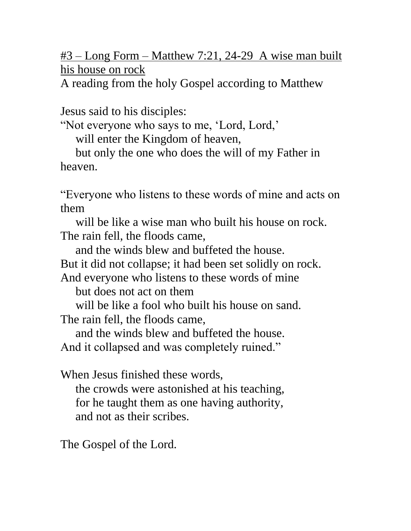#3 – Long Form – Matthew 7:21, 24-29 A wise man built his house on rock

A reading from the holy Gospel according to Matthew

Jesus said to his disciples:

"Not everyone who says to me, 'Lord, Lord,'

will enter the Kingdom of heaven,

 but only the one who does the will of my Father in heaven.

"Everyone who listens to these words of mine and acts on them

 will be like a wise man who built his house on rock. The rain fell, the floods came,

and the winds blew and buffeted the house.

But it did not collapse; it had been set solidly on rock.

And everyone who listens to these words of mine

but does not act on them

will be like a fool who built his house on sand.

The rain fell, the floods came,

and the winds blew and buffeted the house.

And it collapsed and was completely ruined."

When Jesus finished these words,

 the crowds were astonished at his teaching, for he taught them as one having authority, and not as their scribes.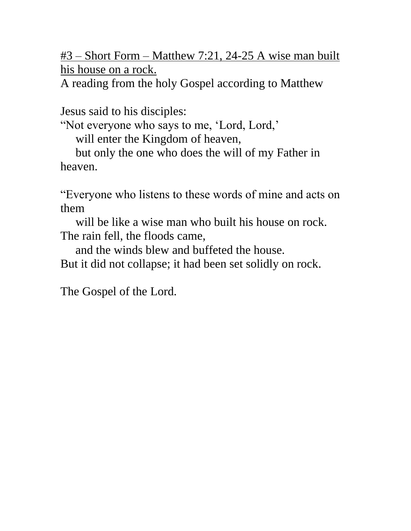#3 – Short Form – Matthew 7:21, 24-25 A wise man built his house on a rock.

A reading from the holy Gospel according to Matthew

Jesus said to his disciples:

"Not everyone who says to me, 'Lord, Lord,'

will enter the Kingdom of heaven,

 but only the one who does the will of my Father in heaven.

"Everyone who listens to these words of mine and acts on them

will be like a wise man who built his house on rock. The rain fell, the floods came,

and the winds blew and buffeted the house.

But it did not collapse; it had been set solidly on rock.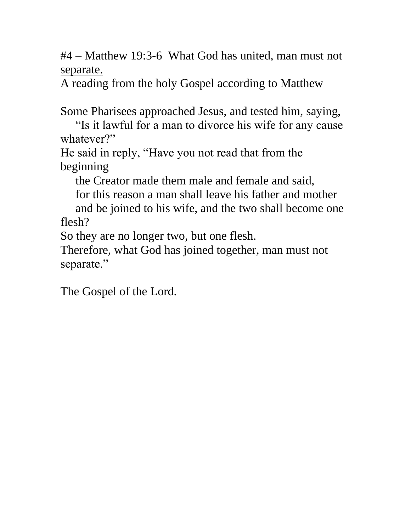#4 – Matthew 19:3-6 What God has united, man must not separate.

A reading from the holy Gospel according to Matthew

Some Pharisees approached Jesus, and tested him, saying,

 "Is it lawful for a man to divorce his wife for any cause whatever?"

He said in reply, "Have you not read that from the beginning

the Creator made them male and female and said,

for this reason a man shall leave his father and mother

 and be joined to his wife, and the two shall become one flesh?

So they are no longer two, but one flesh.

Therefore, what God has joined together, man must not separate."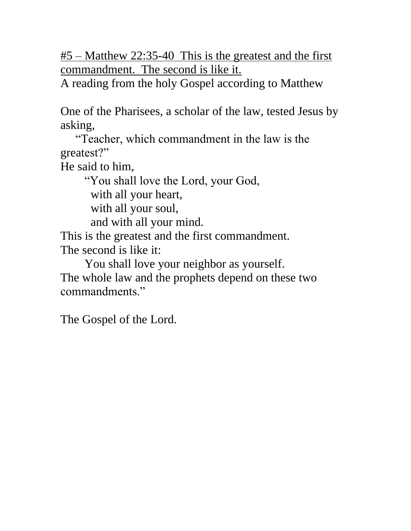#5 – Matthew 22:35-40 This is the greatest and the first commandment. The second is like it.

A reading from the holy Gospel according to Matthew

One of the Pharisees, a scholar of the law, tested Jesus by asking,

 "Teacher, which commandment in the law is the greatest?"

He said to him,

"You shall love the Lord, your God,

with all your heart,

with all your soul,

and with all your mind.

This is the greatest and the first commandment. The second is like it:

You shall love your neighbor as yourself. The whole law and the prophets depend on these two

commandments."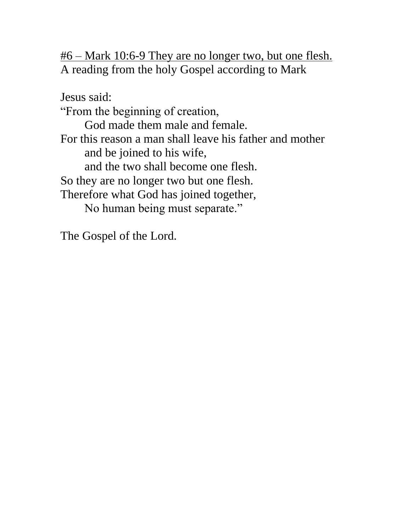#6 – Mark 10:6-9 They are no longer two, but one flesh. A reading from the holy Gospel according to Mark

Jesus said: "From the beginning of creation, God made them male and female. For this reason a man shall leave his father and mother and be joined to his wife, and the two shall become one flesh. So they are no longer two but one flesh. Therefore what God has joined together, No human being must separate."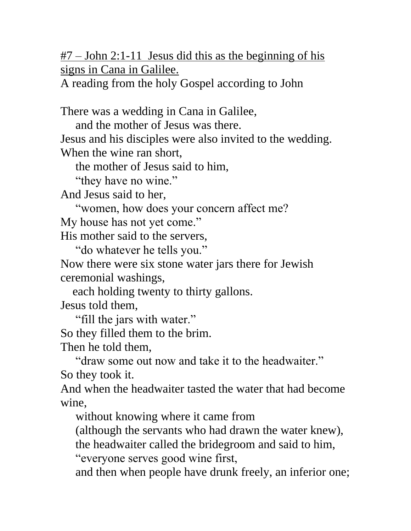#7 – John 2:1-11 Jesus did this as the beginning of his signs in Cana in Galilee.

A reading from the holy Gospel according to John

There was a wedding in Cana in Galilee,

and the mother of Jesus was there.

Jesus and his disciples were also invited to the wedding. When the wine ran short,

the mother of Jesus said to him,

"they have no wine."

And Jesus said to her,

"women, how does your concern affect me?

My house has not yet come."

His mother said to the servers,

"do whatever he tells you."

Now there were six stone water jars there for Jewish ceremonial washings,

each holding twenty to thirty gallons.

Jesus told them,

"fill the jars with water."

So they filled them to the brim.

Then he told them,

 "draw some out now and take it to the headwaiter." So they took it.

And when the headwaiter tasted the water that had become wine,

without knowing where it came from

(although the servants who had drawn the water knew),

the headwaiter called the bridegroom and said to him,

"everyone serves good wine first,

and then when people have drunk freely, an inferior one;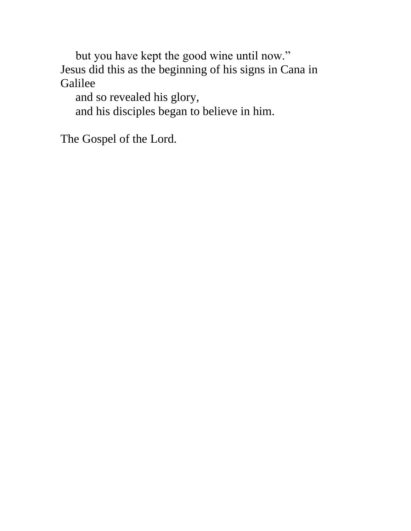but you have kept the good wine until now." Jesus did this as the beginning of his signs in Cana in Galilee

 and so revealed his glory, and his disciples began to believe in him.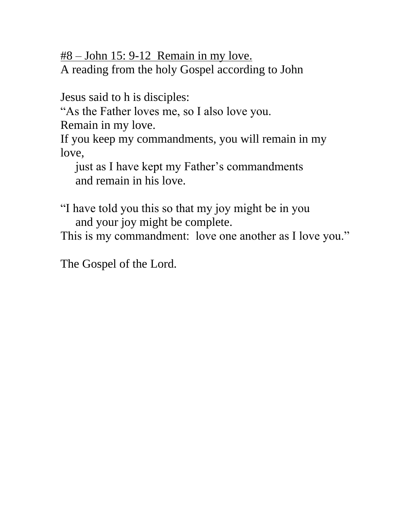#8 – John 15: 9-12 Remain in my love. A reading from the holy Gospel according to John

Jesus said to h is disciples:

"As the Father loves me, so I also love you.

Remain in my love.

If you keep my commandments, you will remain in my love,

 just as I have kept my Father's commandments and remain in his love.

"I have told you this so that my joy might be in you and your joy might be complete.

This is my commandment: love one another as I love you."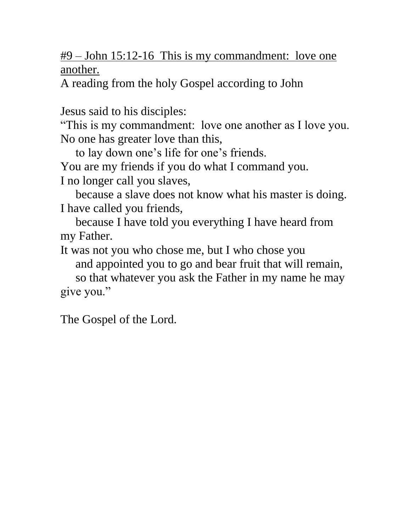### #9 – John 15:12-16 This is my commandment: love one another.

A reading from the holy Gospel according to John

Jesus said to his disciples:

"This is my commandment: love one another as I love you. No one has greater love than this,

to lay down one's life for one's friends.

You are my friends if you do what I command you.

I no longer call you slaves,

 because a slave does not know what his master is doing. I have called you friends,

 because I have told you everything I have heard from my Father.

It was not you who chose me, but I who chose you and appointed you to go and bear fruit that will remain,

 so that whatever you ask the Father in my name he may give you."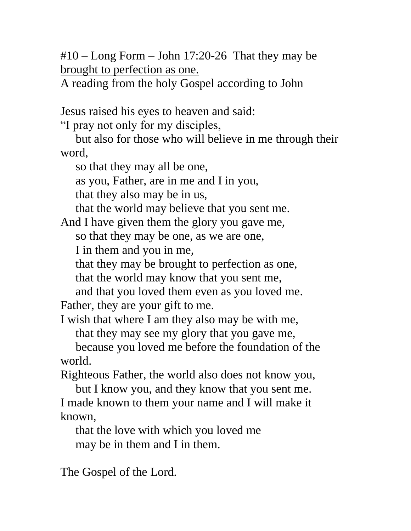$\text{\#10}$  – Long Form – John 17:20-26 That they may be brought to perfection as one.

A reading from the holy Gospel according to John

Jesus raised his eyes to heaven and said:

"I pray not only for my disciples,

 but also for those who will believe in me through their word,

so that they may all be one,

as you, Father, are in me and I in you,

that they also may be in us,

that the world may believe that you sent me.

And I have given them the glory you gave me,

so that they may be one, as we are one,

I in them and you in me,

that they may be brought to perfection as one,

that the world may know that you sent me,

and that you loved them even as you loved me.

Father, they are your gift to me.

I wish that where I am they also may be with me, that they may see my glory that you gave me,

 because you loved me before the foundation of the world.

Righteous Father, the world also does not know you,

 but I know you, and they know that you sent me. I made known to them your name and I will make it known,

 that the love with which you loved me may be in them and I in them.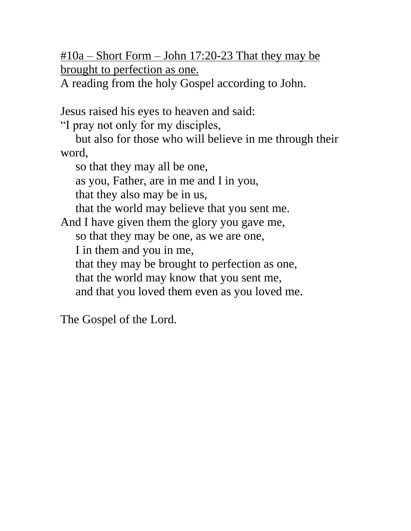$\text{\#}10a - \text{Short Form} - \text{John } 17:20-23 \text{ That they may be}$ brought to perfection as one.

A reading from the holy Gospel according to John.

Jesus raised his eyes to heaven and said:

"I pray not only for my disciples,

 but also for those who will believe in me through their word,

so that they may all be one,

as you, Father, are in me and I in you,

that they also may be in us,

that the world may believe that you sent me.

And I have given them the glory you gave me,

so that they may be one, as we are one,

I in them and you in me,

that they may be brought to perfection as one,

that the world may know that you sent me,

and that you loved them even as you loved me.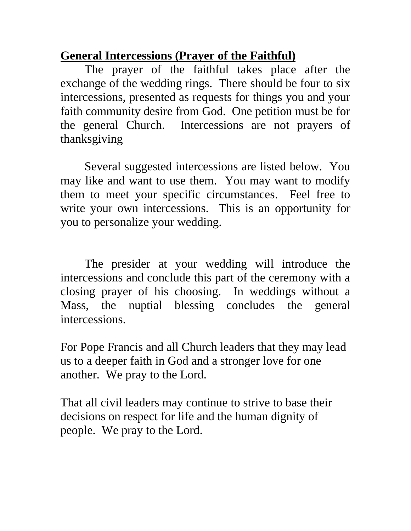# **General Intercessions (Prayer of the Faithful)**

The prayer of the faithful takes place after the exchange of the wedding rings. There should be four to six intercessions, presented as requests for things you and your faith community desire from God. One petition must be for the general Church. Intercessions are not prayers of thanksgiving

Several suggested intercessions are listed below. You may like and want to use them. You may want to modify them to meet your specific circumstances. Feel free to write your own intercessions. This is an opportunity for you to personalize your wedding.

The presider at your wedding will introduce the intercessions and conclude this part of the ceremony with a closing prayer of his choosing. In weddings without a Mass, the nuptial blessing concludes the general intercessions.

For Pope Francis and all Church leaders that they may lead us to a deeper faith in God and a stronger love for one another. We pray to the Lord.

That all civil leaders may continue to strive to base their decisions on respect for life and the human dignity of people. We pray to the Lord.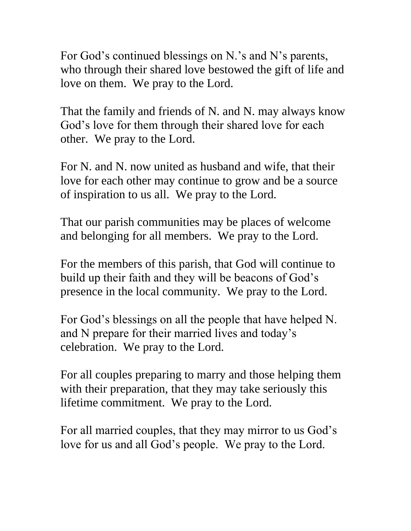For God's continued blessings on N.'s and N's parents, who through their shared love bestowed the gift of life and love on them. We pray to the Lord.

That the family and friends of N. and N. may always know God's love for them through their shared love for each other. We pray to the Lord.

For N. and N. now united as husband and wife, that their love for each other may continue to grow and be a source of inspiration to us all. We pray to the Lord.

That our parish communities may be places of welcome and belonging for all members. We pray to the Lord.

For the members of this parish, that God will continue to build up their faith and they will be beacons of God's presence in the local community. We pray to the Lord.

For God's blessings on all the people that have helped N. and N prepare for their married lives and today's celebration. We pray to the Lord.

For all couples preparing to marry and those helping them with their preparation, that they may take seriously this lifetime commitment. We pray to the Lord.

For all married couples, that they may mirror to us God's love for us and all God's people. We pray to the Lord.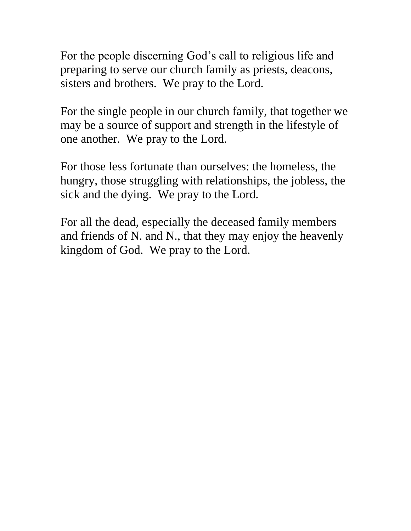For the people discerning God's call to religious life and preparing to serve our church family as priests, deacons, sisters and brothers. We pray to the Lord.

For the single people in our church family, that together we may be a source of support and strength in the lifestyle of one another. We pray to the Lord.

For those less fortunate than ourselves: the homeless, the hungry, those struggling with relationships, the jobless, the sick and the dying. We pray to the Lord.

For all the dead, especially the deceased family members and friends of N. and N., that they may enjoy the heavenly kingdom of God. We pray to the Lord.